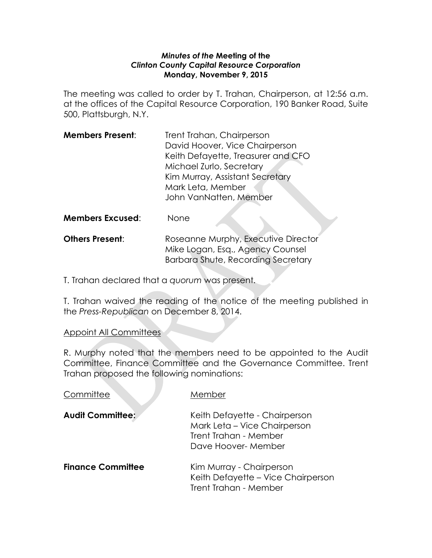#### *Minutes of the* **Meeting of the** *Clinton County Capital Resource Corporation* **Monday, November 9, 2015**

The meeting was called to order by T. Trahan, Chairperson, at 12:56 a.m. at the offices of the Capital Resource Corporation, 190 Banker Road, Suite 500, Plattsburgh, N.Y.

| <b>Members Present:</b> | Trent Trahan, Chairperson          |  |
|-------------------------|------------------------------------|--|
|                         | David Hoover, Vice Chairperson     |  |
|                         | Keith Defayette, Treasurer and CFO |  |
|                         | Michael Zurlo, Secretary           |  |
|                         | Kim Murray, Assistant Secretary    |  |
|                         | Mark Leta, Member                  |  |
|                         | John VanNatten, Member             |  |
|                         |                                    |  |

**Members Excused**: None

| <b>Others Present:</b> | Roseanne Murphy, Executive Director |
|------------------------|-------------------------------------|
|                        | Mike Logan, Esq., Agency Counsel    |
|                        | Barbara Shute, Recording Secretary  |

T. Trahan declared that a *quorum* was present.

T. Trahan waived the reading of the notice of the meeting published in the *Press-Republican* on December 8, 2014.

## Appoint All Committees

R. Murphy noted that the members need to be appointed to the Audit Committee, Finance Committee and the Governance Committee. Trent Trahan proposed the following nominations:

| Committee                | Member                                                                                                        |
|--------------------------|---------------------------------------------------------------------------------------------------------------|
| <b>Audit Committee:</b>  | Keith Defayette - Chairperson<br>Mark Leta - Vice Chairperson<br>Trent Trahan - Member<br>Dave Hoover- Member |
| <b>Finance Committee</b> | Kim Murray - Chairperson<br>Keith Defayette - Vice Chairperson<br>Trent Trahan - Member                       |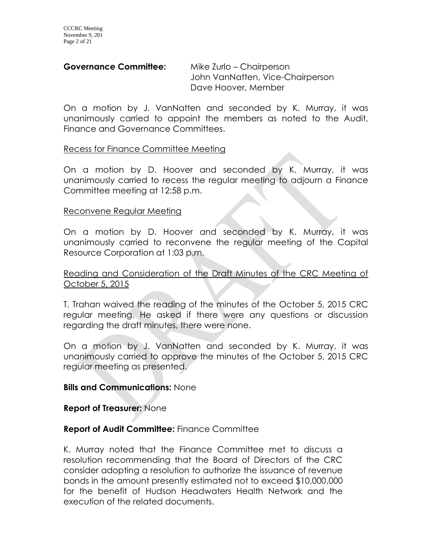### **Governance Committee:** Mike Zurlo – Chairperson

John VanNatten, Vice-Chairperson Dave Hoover, Member

On a motion by J. VanNatten and seconded by K. Murray, it was unanimously carried to appoint the members as noted to the Audit, Finance and Governance Committees.

### Recess for Finance Committee Meeting

On a motion by D. Hoover and seconded by K. Murray, it was unanimously carried to recess the regular meeting to adjourn a Finance Committee meeting at 12:58 p.m.

#### Reconvene Regular Meeting

On a motion by D. Hoover and seconded by K. Murray, it was unanimously carried to reconvene the regular meeting of the Capital Resource Corporation at 1:03 p.m.

### Reading and Consideration of the Draft Minutes of the CRC Meeting of October 5, 2015

T. Trahan waived the reading of the minutes of the October 5, 2015 CRC regular meeting. He asked if there were any questions or discussion regarding the draft minutes, there were none.

On a motion by J. VanNatten and seconded by K. Murray, it was unanimously carried to approve the minutes of the October 5, 2015 CRC regular meeting as presented.

### **Bills and Communications:** None

### **Report of Treasurer:** None

### **Report of Audit Committee:** Finance Committee

K. Murray noted that the Finance Committee met to discuss a resolution recommending that the Board of Directors of the CRC consider adopting a resolution to authorize the issuance of revenue bonds in the amount presently estimated not to exceed \$10,000,000 for the benefit of Hudson Headwaters Health Network and the execution of the related documents.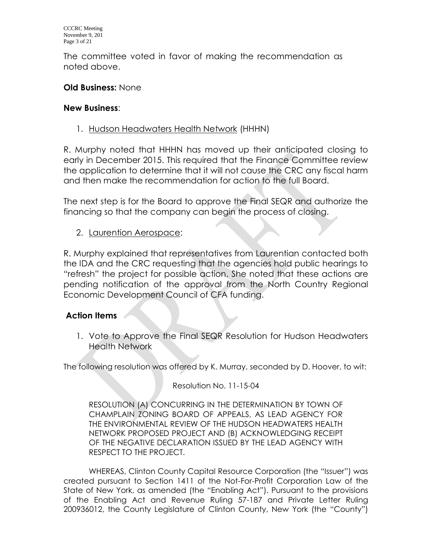The committee voted in favor of making the recommendation as noted above.

# **Old Business:** None

## **New Business**:

1. Hudson Headwaters Health Network (HHHN)

R. Murphy noted that HHHN has moved up their anticipated closing to early in December 2015. This required that the Finance Committee review the application to determine that it will not cause the CRC any fiscal harm and then make the recommendation for action to the full Board.

The next step is for the Board to approve the Final SEQR and authorize the financing so that the company can begin the process of closing.

2. Laurention Aerospace:

R. Murphy explained that representatives from Laurentian contacted both the IDA and the CRC requesting that the agencies hold public hearings to "refresh" the project for possible action. She noted that these actions are pending notification of the approval from the North Country Regional Economic Development Council of CFA funding.

## **Action Items**

1. Vote to Approve the Final SEQR Resolution for Hudson Headwaters Health Network

The following resolution was offered by K. Murray, seconded by D. Hoover, to wit:

Resolution No. 11-15-04

RESOLUTION (A) CONCURRING IN THE DETERMINATION BY TOWN OF CHAMPLAIN ZONING BOARD OF APPEALS, AS LEAD AGENCY FOR THE ENVIRONMENTAL REVIEW OF THE HUDSON HEADWATERS HEALTH NETWORK PROPOSED PROJECT AND (B) ACKNOWLEDGING RECEIPT OF THE NEGATIVE DECLARATION ISSUED BY THE LEAD AGENCY WITH RESPECT TO THE PROJECT.

WHEREAS, Clinton County Capital Resource Corporation (the "Issuer") was created pursuant to Section 1411 of the Not-For-Profit Corporation Law of the State of New York, as amended (the "Enabling Act"). Pursuant to the provisions of the Enabling Act and Revenue Ruling 57-187 and Private Letter Ruling 200936012, the County Legislature of Clinton County, New York (the "County")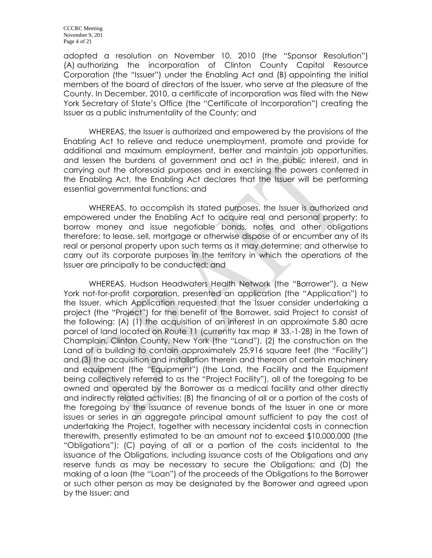adopted a resolution on November 10, 2010 (the "Sponsor Resolution") (A) authorizing the incorporation of Clinton County Capital Resource Corporation (the "Issuer") under the Enabling Act and (B) appointing the initial members of the board of directors of the Issuer, who serve at the pleasure of the County. In December, 2010, a certificate of incorporation was filed with the New York Secretary of State's Office (the "Certificate of Incorporation") creating the Issuer as a public instrumentality of the County; and

WHEREAS, the Issuer is authorized and empowered by the provisions of the Enabling Act to relieve and reduce unemployment, promote and provide for additional and maximum employment, better and maintain job opportunities, and lessen the burdens of government and act in the public interest, and in carrying out the aforesaid purposes and in exercising the powers conferred in the Enabling Act, the Enabling Act declares that the Issuer will be performing essential governmental functions; and

WHEREAS, to accomplish its stated purposes, the Issuer is authorized and empowered under the Enabling Act to acquire real and personal property; to borrow money and issue negotiable bonds, notes and other obligations therefore; to lease, sell, mortgage or otherwise dispose of or encumber any of its real or personal property upon such terms as it may determine; and otherwise to carry out its corporate purposes in the territory in which the operations of the Issuer are principally to be conducted; and

WHEREAS, Hudson Headwaters Health Network (the "Borrower"), a New York not-for-profit corporation, presented an application (the "Application") to the Issuer, which Application requested that the Issuer consider undertaking a project (the "Project") for the benefit of the Borrower, said Project to consist of the following: (A) (1) the acquisition of an interest in an approximate 5.80 acre parcel of land located on Route 11 (currently tax map # 33.-1-28) in the Town of Champlain, Clinton County, New York (the "Land"), (2) the construction on the Land of a building to contain approximately 25,916 square feet (the "Facility") and (3) the acquisition and installation therein and thereon of certain machinery and equipment (the "Equipment") (the Land, the Facility and the Equipment being collectively referred to as the "Project Facility"), all of the foregoing to be owned and operated by the Borrower as a medical facility and other directly and indirectly related activities; (B) the financing of all or a portion of the costs of the foregoing by the issuance of revenue bonds of the Issuer in one or more issues or series in an aggregate principal amount sufficient to pay the cost of undertaking the Project, together with necessary incidental costs in connection therewith, presently estimated to be an amount not to exceed \$10,000,000 (the "Obligations"); (C) paying of all or a portion of the costs incidental to the issuance of the Obligations, including issuance costs of the Obligations and any reserve funds as may be necessary to secure the Obligations; and (D) the making of a loan (the "Loan") of the proceeds of the Obligations to the Borrower or such other person as may be designated by the Borrower and agreed upon by the Issuer; and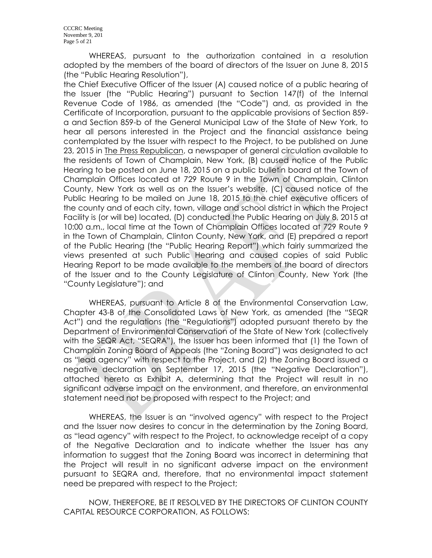WHEREAS, pursuant to the authorization contained in a resolution adopted by the members of the board of directors of the Issuer on June 8, 2015 (the "Public Hearing Resolution"),

the Chief Executive Officer of the Issuer (A) caused notice of a public hearing of the Issuer (the "Public Hearing") pursuant to Section 147(f) of the Internal Revenue Code of 1986, as amended (the "Code") and, as provided in the Certificate of Incorporation, pursuant to the applicable provisions of Section 859 a and Section 859-b of the General Municipal Law of the State of New York, to hear all persons interested in the Project and the financial assistance being contemplated by the Issuer with respect to the Project, to be published on June 23, 2015 in The Press Republican, a newspaper of general circulation available to the residents of Town of Champlain, New York, (B) caused notice of the Public Hearing to be posted on June 18, 2015 on a public bulletin board at the Town of Champlain Offices located at 729 Route 9 in the Town of Champlain, Clinton County, New York as well as on the Issuer's website, (C) caused notice of the Public Hearing to be mailed on June 18, 2015 to the chief executive officers of the county and of each city, town, village and school district in which the Project Facility is (or will be) located, (D) conducted the Public Hearing on July 8, 2015 at 10:00 a.m., local time at the Town of Champlain Offices located at 729 Route 9 in the Town of Champlain, Clinton County, New York, and (E) prepared a report of the Public Hearing (the "Public Hearing Report") which fairly summarized the views presented at such Public Hearing and caused copies of said Public Hearing Report to be made available to the members of the board of directors of the Issuer and to the County Legislature of Clinton County, New York (the "County Legislature"); and

WHEREAS, pursuant to Article 8 of the Environmental Conservation Law, Chapter 43-B of the Consolidated Laws of New York, as amended (the "SEQR Act") and the regulations (the "Regulations") adopted pursuant thereto by the Department of Environmental Conservation of the State of New York (collectively with the SEQR Act, "SEQRA"), the Issuer has been informed that (1) the Town of Champlain Zoning Board of Appeals (the "Zoning Board") was designated to act as "lead agency" with respect to the Project, and (2) the Zoning Board issued a negative declaration on September 17, 2015 (the "Negative Declaration"), attached hereto as Exhibit A, determining that the Project will result in no significant adverse impact on the environment, and therefore, an environmental statement need not be proposed with respect to the Project; and

WHEREAS, the Issuer is an "involved agency" with respect to the Project and the Issuer now desires to concur in the determination by the Zoning Board, as "lead agency" with respect to the Project, to acknowledge receipt of a copy of the Negative Declaration and to indicate whether the Issuer has any information to suggest that the Zoning Board was incorrect in determining that the Project will result in no significant adverse impact on the environment pursuant to SEQRA and, therefore, that no environmental impact statement need be prepared with respect to the Project;

NOW, THEREFORE, BE IT RESOLVED BY THE DIRECTORS OF CLINTON COUNTY CAPITAL RESOURCE CORPORATION, AS FOLLOWS: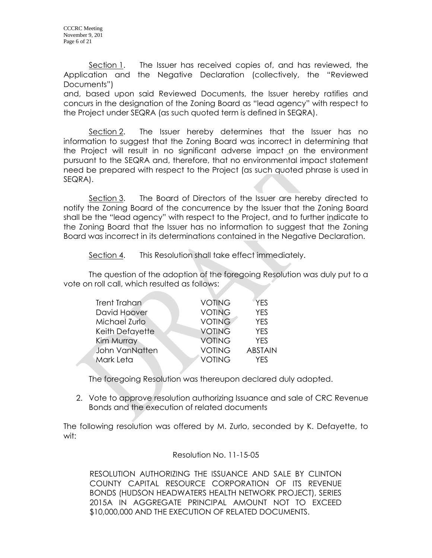Section 1. The Issuer has received copies of, and has reviewed, the Application and the Negative Declaration (collectively, the "Reviewed Documents")

and, based upon said Reviewed Documents, the Issuer hereby ratifies and concurs in the designation of the Zoning Board as "lead agency" with respect to the Project under SEQRA (as such quoted term is defined in SEQRA).

Section 2. The Issuer hereby determines that the Issuer has no information to suggest that the Zoning Board was incorrect in determining that the Project will result in no significant adverse impact on the environment pursuant to the SEQRA and, therefore, that no environmental impact statement need be prepared with respect to the Project (as such quoted phrase is used in SEQRA).

Section 3. The Board of Directors of the Issuer are hereby directed to notify the Zoning Board of the concurrence by the Issuer that the Zoning Board shall be the "lead agency" with respect to the Project, and to further indicate to the Zoning Board that the Issuer has no information to suggest that the Zoning Board was incorrect in its determinations contained in the Negative Declaration.

Section 4. This Resolution shall take effect immediately.

The question of the adoption of the foregoing Resolution was duly put to a vote on roll call, which resulted as follows:

| Trent Trahan    | <b>VOTING</b> | <b>YES</b>     |
|-----------------|---------------|----------------|
| David Hoover    | <b>VOTING</b> | <b>YES</b>     |
| Michael Zurlo   | <b>VOTING</b> | <b>YES</b>     |
| Keith Defayette | <b>VOTING</b> | <b>YES</b>     |
| Kim Murray      | <b>VOTING</b> | <b>YES</b>     |
| John VanNatten  | <b>VOTING</b> | <b>ABSTAIN</b> |
| Mark Leta       | <b>VOTING</b> | <b>YFS</b>     |
|                 |               |                |

The foregoing Resolution was thereupon declared duly adopted.

2. Vote to approve resolution authorizing Issuance and sale of CRC Revenue Bonds and the execution of related documents

The following resolution was offered by M. Zurlo, seconded by K. Defayette, to wit:

#### Resolution No. 11-15-05

RESOLUTION AUTHORIZING THE ISSUANCE AND SALE BY CLINTON COUNTY CAPITAL RESOURCE CORPORATION OF ITS REVENUE BONDS (HUDSON HEADWATERS HEALTH NETWORK PROJECT), SERIES 2015A IN AGGREGATE PRINCIPAL AMOUNT NOT TO EXCEED \$10,000,000 AND THE EXECUTION OF RELATED DOCUMENTS.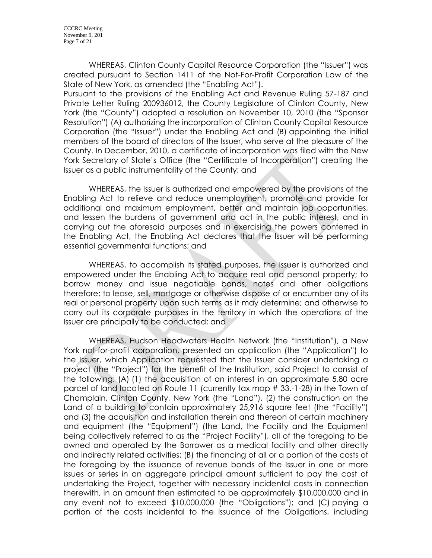WHEREAS, Clinton County Capital Resource Corporation (the "Issuer") was created pursuant to Section 1411 of the Not-For-Profit Corporation Law of the State of New York, as amended (the "Enabling Act").

Pursuant to the provisions of the Enabling Act and Revenue Ruling 57-187 and Private Letter Ruling 200936012, the County Legislature of Clinton County, New York (the "County") adopted a resolution on November 10, 2010 (the "Sponsor Resolution") (A) authorizing the incorporation of Clinton County Capital Resource Corporation (the "Issuer") under the Enabling Act and (B) appointing the initial members of the board of directors of the Issuer, who serve at the pleasure of the County. In December, 2010, a certificate of incorporation was filed with the New York Secretary of State's Office (the "Certificate of Incorporation") creating the Issuer as a public instrumentality of the County; and

WHEREAS, the Issuer is authorized and empowered by the provisions of the Enabling Act to relieve and reduce unemployment, promote and provide for additional and maximum employment, better and maintain job opportunities, and lessen the burdens of government and act in the public interest, and in carrying out the aforesaid purposes and in exercising the powers conferred in the Enabling Act, the Enabling Act declares that the Issuer will be performing essential governmental functions; and

WHEREAS, to accomplish its stated purposes, the Issuer is authorized and empowered under the Enabling Act to acquire real and personal property; to borrow money and issue negotiable bonds, notes and other obligations therefore; to lease, sell, mortgage or otherwise dispose of or encumber any of its real or personal property upon such terms as it may determine; and otherwise to carry out its corporate purposes in the territory in which the operations of the Issuer are principally to be conducted; and

WHEREAS, Hudson Headwaters Health Network (the "Institution"), a New York not-for-profit corporation, presented an application (the "Application") to the Issuer, which Application requested that the Issuer consider undertaking a project (the "Project") for the benefit of the Institution, said Project to consist of the following: (A) (1) the acquisition of an interest in an approximate 5.80 acre parcel of land located on Route 11 (currently tax map # 33.-1-28) in the Town of Champlain, Clinton County, New York (the "Land"), (2) the construction on the Land of a building to contain approximately 25,916 square feet (the "Facility") and (3) the acquisition and installation therein and thereon of certain machinery and equipment (the "Equipment") (the Land, the Facility and the Equipment being collectively referred to as the "Project Facility"), all of the foregoing to be owned and operated by the Borrower as a medical facility and other directly and indirectly related activities; (B) the financing of all or a portion of the costs of the foregoing by the issuance of revenue bonds of the Issuer in one or more issues or series in an aggregate principal amount sufficient to pay the cost of undertaking the Project, together with necessary incidental costs in connection therewith, in an amount then estimated to be approximately \$10,000,000 and in any event not to exceed \$10,000,000 (the "Obligations"); and (C) paying a portion of the costs incidental to the issuance of the Obligations, including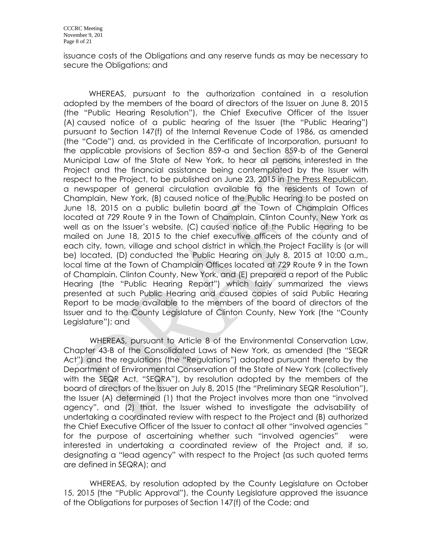issuance costs of the Obligations and any reserve funds as may be necessary to secure the Obligations; and

WHEREAS, pursuant to the authorization contained in a resolution adopted by the members of the board of directors of the Issuer on June 8, 2015 (the "Public Hearing Resolution"), the Chief Executive Officer of the Issuer (A) caused notice of a public hearing of the Issuer (the "Public Hearing") pursuant to Section 147(f) of the Internal Revenue Code of 1986, as amended (the "Code") and, as provided in the Certificate of Incorporation, pursuant to the applicable provisions of Section 859-a and Section 859-b of the General Municipal Law of the State of New York, to hear all persons interested in the Project and the financial assistance being contemplated by the Issuer with respect to the Project, to be published on June 23, 2015 in The Press Republican, a newspaper of general circulation available to the residents of Town of Champlain, New York, (B) caused notice of the Public Hearing to be posted on June 18, 2015 on a public bulletin board at the Town of Champlain Offices located at 729 Route 9 in the Town of Champlain, Clinton County, New York as well as on the Issuer's website, (C) caused notice of the Public Hearing to be mailed on June 18, 2015 to the chief executive officers of the county and of each city, town, village and school district in which the Project Facility is (or will be) located, (D) conducted the Public Hearing on July 8, 2015 at 10:00 a.m., local time at the Town of Champlain Offices located at 729 Route 9 in the Town of Champlain, Clinton County, New York, and (E) prepared a report of the Public Hearing (the "Public Hearing Report") which fairly summarized the views presented at such Public Hearing and caused copies of said Public Hearing Report to be made available to the members of the board of directors of the Issuer and to the County Legislature of Clinton County, New York (the "County Legislature"); and

WHEREAS, pursuant to Article 8 of the Environmental Conservation Law, Chapter 43-B of the Consolidated Laws of New York, as amended (the "SEQR Act") and the regulations (the "Regulations") adopted pursuant thereto by the Department of Environmental Conservation of the State of New York (collectively with the SEQR Act, "SEQRA"), by resolution adopted by the members of the board of directors of the Issuer on July 8, 2015 (the "Preliminary SEQR Resolution"), the Issuer (A) determined (1) that the Project involves more than one "involved agency", and (2) that, the Issuer wished to investigate the advisability of undertaking a coordinated review with respect to the Project and (B) authorized the Chief Executive Officer of the Issuer to contact all other "involved agencies " for the purpose of ascertaining whether such "involved agencies" were interested in undertaking a coordinated review of the Project and, if so, designating a "lead agency" with respect to the Project (as such quoted terms are defined in SEQRA); and

WHEREAS, by resolution adopted by the County Legislature on October 15, 2015 (the "Public Approval"), the County Legislature approved the issuance of the Obligations for purposes of Section 147(f) of the Code; and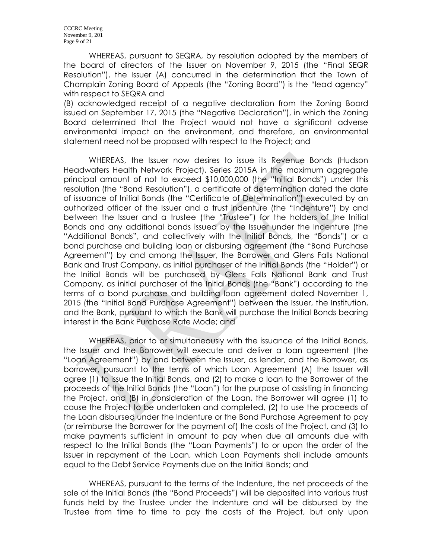WHEREAS, pursuant to SEQRA, by resolution adopted by the members of the board of directors of the Issuer on November 9, 2015 (the "Final SEQR Resolution"), the Issuer (A) concurred in the determination that the Town of Champlain Zoning Board of Appeals (the "Zoning Board") is the "lead agency" with respect to SEQRA and

(B) acknowledged receipt of a negative declaration from the Zoning Board issued on September 17, 2015 (the "Negative Declaration"), in which the Zoning Board determined that the Project would not have a significant adverse environmental impact on the environment, and therefore, an environmental statement need not be proposed with respect to the Project; and

WHEREAS, the Issuer now desires to issue its Revenue Bonds (Hudson Headwaters Health Network Project), Series 2015A in the maximum aggregate principal amount of not to exceed \$10,000,000 (the "Initial Bonds") under this resolution (the "Bond Resolution"), a certificate of determination dated the date of issuance of Initial Bonds (the "Certificate of Determination") executed by an authorized officer of the Issuer and a trust indenture (the "Indenture") by and between the Issuer and a trustee (the "Trustee") for the holders of the Initial Bonds and any additional bonds issued by the Issuer under the Indenture (the "Additional Bonds", and collectively with the Initial Bonds, the "Bonds") or a bond purchase and building loan or disbursing agreement (the "Bond Purchase Agreement") by and among the Issuer, the Borrower and Glens Falls National Bank and Trust Company, as initial purchaser of the Initial Bonds (the "Holder") or the Initial Bonds will be purchased by Glens Falls National Bank and Trust Company, as initial purchaser of the Initial Bonds (the "Bank") according to the terms of a bond purchase and building loan agreement dated November 1, 2015 (the "Initial Bond Purchase Agreement") between the Issuer, the Institution, and the Bank, pursuant to which the Bank will purchase the Initial Bonds bearing interest in the Bank Purchase Rate Mode; and

WHEREAS, prior to or simultaneously with the issuance of the Initial Bonds, the Issuer and the Borrower will execute and deliver a loan agreement (the "Loan Agreement") by and between the Issuer, as lender, and the Borrower, as borrower, pursuant to the terms of which Loan Agreement (A) the Issuer will agree (1) to issue the Initial Bonds, and (2) to make a loan to the Borrower of the proceeds of the Initial Bonds (the "Loan") for the purpose of assisting in financing the Project, and (B) in consideration of the Loan, the Borrower will agree (1) to cause the Project to be undertaken and completed, (2) to use the proceeds of the Loan disbursed under the Indenture or the Bond Purchase Agreement to pay (or reimburse the Borrower for the payment of) the costs of the Project, and (3) to make payments sufficient in amount to pay when due all amounts due with respect to the Initial Bonds (the "Loan Payments") to or upon the order of the Issuer in repayment of the Loan, which Loan Payments shall include amounts equal to the Debt Service Payments due on the Initial Bonds; and

WHEREAS, pursuant to the terms of the Indenture, the net proceeds of the sale of the Initial Bonds (the "Bond Proceeds") will be deposited into various trust funds held by the Trustee under the Indenture and will be disbursed by the Trustee from time to time to pay the costs of the Project, but only upon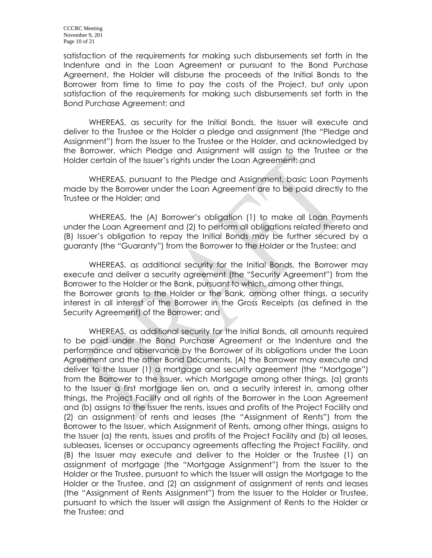satisfaction of the requirements for making such disbursements set forth in the Indenture and in the Loan Agreement or pursuant to the Bond Purchase Agreement, the Holder will disburse the proceeds of the Initial Bonds to the Borrower from time to time to pay the costs of the Project, but only upon satisfaction of the requirements for making such disbursements set forth in the Bond Purchase Agreement; and

WHEREAS, as security for the Initial Bonds, the Issuer will execute and deliver to the Trustee or the Holder a pledge and assignment (the "Pledge and Assignment") from the Issuer to the Trustee or the Holder, and acknowledged by the Borrower, which Pledge and Assignment will assign to the Trustee or the Holder certain of the Issuer's rights under the Loan Agreement; and

WHEREAS, pursuant to the Pledge and Assignment, basic Loan Payments made by the Borrower under the Loan Agreement are to be paid directly to the Trustee or the Holder; and

WHEREAS, the (A) Borrower's obligation (1) to make all Loan Payments under the Loan Agreement and (2) to perform all obligations related thereto and (B) Issuer's obligation to repay the Initial Bonds may be further secured by a guaranty (the "Guaranty") from the Borrower to the Holder or the Trustee; and

WHEREAS, as additional security for the Initial Bonds, the Borrower may execute and deliver a security agreement (the "Security Agreement") from the Borrower to the Holder or the Bank, pursuant to which, among other things, the Borrower grants to the Holder or the Bank, among other things, a security interest in all interest of the Borrower in the Gross Receipts (as defined in the Security Agreement) of the Borrower; and

WHEREAS, as additional security for the Initial Bonds, all amounts required to be paid under the Bond Purchase Agreement or the Indenture and the performance and observance by the Borrower of its obligations under the Loan Agreement and the other Bond Documents, (A) the Borrower may execute and deliver to the Issuer (1) a mortgage and security agreement (the "Mortgage") from the Borrower to the Issuer, which Mortgage among other things, (a) grants to the Issuer a first mortgage lien on, and a security interest in, among other things, the Project Facility and all rights of the Borrower in the Loan Agreement and (b) assigns to the Issuer the rents, issues and profits of the Project Facility and (2) an assignment of rents and leases (the "Assignment of Rents") from the Borrower to the Issuer, which Assignment of Rents, among other things, assigns to the Issuer (a) the rents, issues and profits of the Project Facility and (b) all leases, subleases, licenses or occupancy agreements affecting the Project Facility, and (B) the Issuer may execute and deliver to the Holder or the Trustee (1) an assignment of mortgage (the "Mortgage Assignment") from the Issuer to the Holder or the Trustee, pursuant to which the Issuer will assign the Mortgage to the Holder or the Trustee, and (2) an assignment of assignment of rents and leases (the "Assignment of Rents Assignment") from the Issuer to the Holder or Trustee, pursuant to which the Issuer will assign the Assignment of Rents to the Holder or the Trustee; and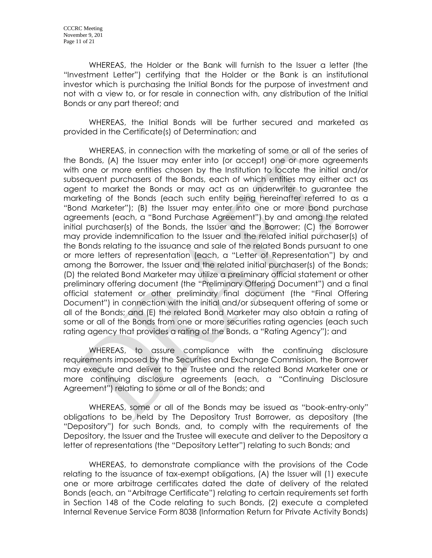WHEREAS, the Holder or the Bank will furnish to the Issuer a letter (the "Investment Letter") certifying that the Holder or the Bank is an institutional investor which is purchasing the Initial Bonds for the purpose of investment and not with a view to, or for resale in connection with, any distribution of the Initial Bonds or any part thereof; and

WHEREAS, the Initial Bonds will be further secured and marketed as provided in the Certificate(s) of Determination; and

WHEREAS, in connection with the marketing of some or all of the series of the Bonds, (A) the Issuer may enter into (or accept) one or more agreements with one or more entities chosen by the Institution to locate the initial and/or subsequent purchasers of the Bonds, each of which entities may either act as agent to market the Bonds or may act as an underwriter to guarantee the marketing of the Bonds (each such entity being hereinafter referred to as a "Bond Marketer"); (B) the Issuer may enter into one or more bond purchase agreements (each, a "Bond Purchase Agreement") by and among the related initial purchaser(s) of the Bonds, the Issuer and the Borrower; (C) the Borrower may provide indemnification to the Issuer and the related initial purchaser(s) of the Bonds relating to the issuance and sale of the related Bonds pursuant to one or more letters of representation (each, a "Letter of Representation") by and among the Borrower, the Issuer and the related initial purchaser(s) of the Bonds; (D) the related Bond Marketer may utilize a preliminary official statement or other preliminary offering document (the "Preliminary Offering Document") and a final official statement or other preliminary final document (the "Final Offering Document") in connection with the initial and/or subsequent offering of some or all of the Bonds; and (E) the related Bond Marketer may also obtain a rating of some or all of the Bonds from one or more securities rating agencies (each such rating agency that provides a rating of the Bonds, a "Rating Agency"); and

WHEREAS, to assure compliance with the continuing disclosure requirements imposed by the Securities and Exchange Commission, the Borrower may execute and deliver to the Trustee and the related Bond Marketer one or more continuing disclosure agreements (each, a "Continuing Disclosure Agreement") relating to some or all of the Bonds; and

WHEREAS, some or all of the Bonds may be issued as "book-entry-only" obligations to be held by The Depository Trust Borrower, as depository (the "Depository") for such Bonds, and, to comply with the requirements of the Depository, the Issuer and the Trustee will execute and deliver to the Depository a letter of representations (the "Depository Letter") relating to such Bonds; and

WHEREAS, to demonstrate compliance with the provisions of the Code relating to the issuance of tax-exempt obligations, (A) the Issuer will (1) execute one or more arbitrage certificates dated the date of delivery of the related Bonds (each, an "Arbitrage Certificate") relating to certain requirements set forth in Section 148 of the Code relating to such Bonds, (2) execute a completed Internal Revenue Service Form 8038 (Information Return for Private Activity Bonds)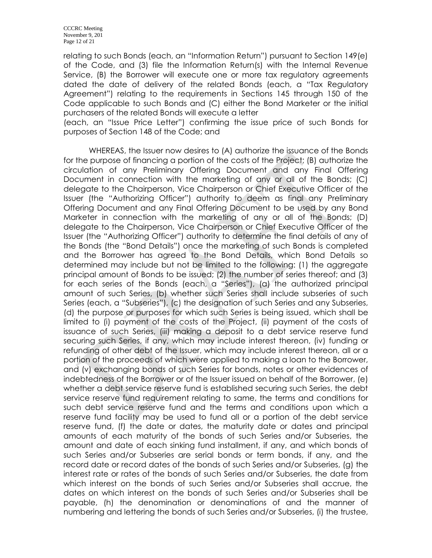relating to such Bonds (each, an "Information Return") pursuant to Section 149(e) of the Code, and (3) file the Information Return(s) with the Internal Revenue Service, (B) the Borrower will execute one or more tax regulatory agreements dated the date of delivery of the related Bonds (each, a "Tax Regulatory Agreement") relating to the requirements in Sections 145 through 150 of the Code applicable to such Bonds and (C) either the Bond Marketer or the initial purchasers of the related Bonds will execute a letter

(each, an "Issue Price Letter") confirming the issue price of such Bonds for purposes of Section 148 of the Code; and

WHEREAS, the Issuer now desires to (A) authorize the issuance of the Bonds for the purpose of financing a portion of the costs of the Project; (B) authorize the circulation of any Preliminary Offering Document and any Final Offering Document in connection with the marketing of any or all of the Bonds; (C) delegate to the Chairperson, Vice Chairperson or Chief Executive Officer of the Issuer (the "Authorizing Officer") authority to deem as final any Preliminary Offering Document and any Final Offering Document to be used by any Bond Marketer in connection with the marketing of any or all of the Bonds; (D) delegate to the Chairperson, Vice Chairperson or Chief Executive Officer of the Issuer (the "Authorizing Officer") authority to determine the final details of any of the Bonds (the "Bond Details") once the marketing of such Bonds is completed and the Borrower has agreed to the Bond Details, which Bond Details so determined may include but not be limited to the following: (1) the aggregate principal amount of Bonds to be issued; (2) the number of series thereof; and (3) for each series of the Bonds (each, a "Series"), (a) the authorized principal amount of such Series, (b) whether such Series shall include subseries of such Series (each, a "Subseries"), (c) the designation of such Series and any Subseries, (d) the purpose or purposes for which such Series is being issued, which shall be limited to (i) payment of the costs of the Project, (ii) payment of the costs of issuance of such Series, (iii) making a deposit to a debt service reserve fund securing such Series, if any, which may include interest thereon, (iv) funding or refunding of other debt of the Issuer, which may include interest thereon, all or a portion of the proceeds of which were applied to making a loan to the Borrower, and (v) exchanging bonds of such Series for bonds, notes or other evidences of indebtedness of the Borrower or of the Issuer issued on behalf of the Borrower, (e) whether a debt service reserve fund is established securing such Series, the debt service reserve fund requirement relating to same, the terms and conditions for such debt service reserve fund and the terms and conditions upon which a reserve fund facility may be used to fund all or a portion of the debt service reserve fund, (f) the date or dates, the maturity date or dates and principal amounts of each maturity of the bonds of such Series and/or Subseries, the amount and date of each sinking fund installment, if any, and which bonds of such Series and/or Subseries are serial bonds or term bonds, if any, and the record date or record dates of the bonds of such Series and/or Subseries, (g) the interest rate or rates of the bonds of such Series and/or Subseries, the date from which interest on the bonds of such Series and/or Subseries shall accrue, the dates on which interest on the bonds of such Series and/or Subseries shall be payable, (h) the denomination or denominations of and the manner of numbering and lettering the bonds of such Series and/or Subseries, (i) the trustee,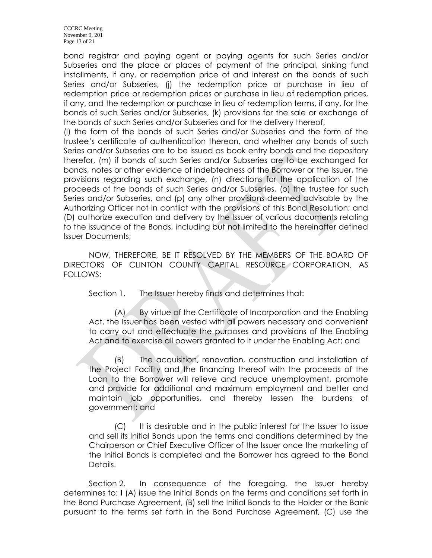CCCRC Meeting November 9, 201 Page 13 of 21

bond registrar and paying agent or paying agents for such Series and/or Subseries and the place or places of payment of the principal, sinking fund installments, if any, or redemption price of and interest on the bonds of such Series and/or Subseries, (j) the redemption price or purchase in lieu of redemption price or redemption prices or purchase in lieu of redemption prices, if any, and the redemption or purchase in lieu of redemption terms, if any, for the bonds of such Series and/or Subseries, (k) provisions for the sale or exchange of the bonds of such Series and/or Subseries and for the delivery thereof,

(l) the form of the bonds of such Series and/or Subseries and the form of the trustee's certificate of authentication thereon, and whether any bonds of such Series and/or Subseries are to be issued as book entry bonds and the depository therefor, (m) if bonds of such Series and/or Subseries are to be exchanged for bonds, notes or other evidence of indebtedness of the Borrower or the Issuer, the provisions regarding such exchange, (n) directions for the application of the proceeds of the bonds of such Series and/or Subseries, (o) the trustee for such Series and/or Subseries, and (p) any other provisions deemed advisable by the Authorizing Officer not in conflict with the provisions of this Bond Resolution; and (D) authorize execution and delivery by the Issuer of various documents relating to the issuance of the Bonds, including but not limited to the hereinafter defined Issuer Documents;

NOW, THEREFORE, BE IT RESOLVED BY THE MEMBERS OF THE BOARD OF DIRECTORS OF CLINTON COUNTY CAPITAL RESOURCE CORPORATION, AS FOLLOWS:

Section 1. The Issuer hereby finds and determines that:

(A) By virtue of the Certificate of Incorporation and the Enabling Act, the Issuer has been vested with all powers necessary and convenient to carry out and effectuate the purposes and provisions of the Enabling Act and to exercise all powers granted to it under the Enabling Act; and

(B) The acquisition, renovation, construction and installation of the Project Facility and the financing thereof with the proceeds of the Loan to the Borrower will relieve and reduce unemployment, promote and provide for additional and maximum employment and better and maintain job opportunities, and thereby lessen the burdens of government; and

(C) It is desirable and in the public interest for the Issuer to issue and sell its Initial Bonds upon the terms and conditions determined by the Chairperson or Chief Executive Officer of the Issuer once the marketing of the Initial Bonds is completed and the Borrower has agreed to the Bond Details.

Section 2. In consequence of the foregoing, the Issuer hereby determines to: **I** (A) issue the Initial Bonds on the terms and conditions set forth in the Bond Purchase Agreement, (B) sell the Initial Bonds to the Holder or the Bank pursuant to the terms set forth in the Bond Purchase Agreement, (C) use the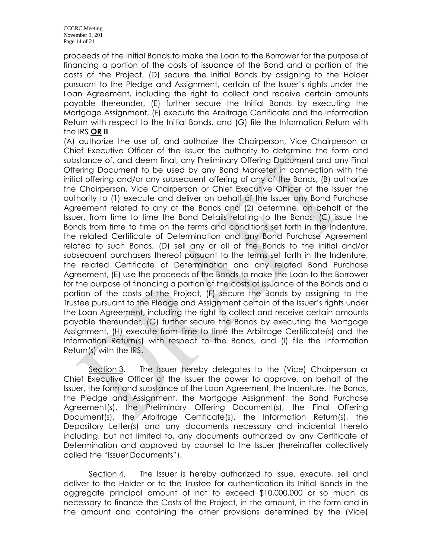proceeds of the Initial Bonds to make the Loan to the Borrower for the purpose of financing a portion of the costs of issuance of the Bond and a portion of the costs of the Project, (D) secure the Initial Bonds by assigning to the Holder pursuant to the Pledge and Assignment, certain of the Issuer's rights under the Loan Agreement, including the right to collect and receive certain amounts payable thereunder, (E) further secure the Initial Bonds by executing the Mortgage Assignment, (F) execute the Arbitrage Certificate and the Information Return with respect to the Initial Bonds, and (G) file the Information Return with the IRS **OR II**

(A) authorize the use of, and authorize the Chairperson, Vice Chairperson or Chief Executive Officer of the Issuer the authority to determine the form and substance of, and deem final, any Preliminary Offering Document and any Final Offering Document to be used by any Bond Marketer in connection with the initial offering and/or any subsequent offering of any of the Bonds, (B) authorize the Chairperson, Vice Chairperson or Chief Executive Officer of the Issuer the authority to (1) execute and deliver on behalf of the Issuer any Bond Purchase Agreement related to any of the Bonds and (2) determine, on behalf of the Issuer, from time to time the Bond Details relating to the Bonds; (C) issue the Bonds from time to time on the terms and conditions set forth in the Indenture, the related Certificate of Determination and any Bond Purchase Agreement related to such Bonds, (D) sell any or all of the Bonds to the initial and/or subsequent purchasers thereof pursuant to the terms set forth in the Indenture, the related Certificate of Determination and any related Bond Purchase Agreement, (E) use the proceeds of the Bonds to make the Loan to the Borrower for the purpose of financing a portion of the costs of issuance of the Bonds and a portion of the costs of the Project, (F) secure the Bonds by assigning to the Trustee pursuant to the Pledge and Assignment certain of the Issuer's rights under the Loan Agreement, including the right to collect and receive certain amounts payable thereunder, (G) further secure the Bonds by executing the Mortgage Assignment, (H) execute from time to time the Arbitrage Certificate(s) and the Information Return(s) with respect to the Bonds, and (I) file the Information Return(s) with the IRS.

Section 3. The Issuer hereby delegates to the (Vice) Chairperson or Chief Executive Officer of the Issuer the power to approve, on behalf of the Issuer, the form and substance of the Loan Agreement, the Indenture, the Bonds, the Pledge and Assignment, the Mortgage Assignment, the Bond Purchase Agreement(s), the Preliminary Offering Document(s), the Final Offering Document(s), the Arbitrage Certificate(s), the Information Return(s), the Depository Letter(s) and any documents necessary and incidental thereto including, but not limited to, any documents authorized by any Certificate of Determination and approved by counsel to the Issuer (hereinafter collectively called the "Issuer Documents").

Section 4. The Issuer is hereby authorized to issue, execute, sell and deliver to the Holder or to the Trustee for authentication its Initial Bonds in the aggregate principal amount of not to exceed \$10,000,000 or so much as necessary to finance the Costs of the Project, in the amount, in the form and in the amount and containing the other provisions determined by the (Vice)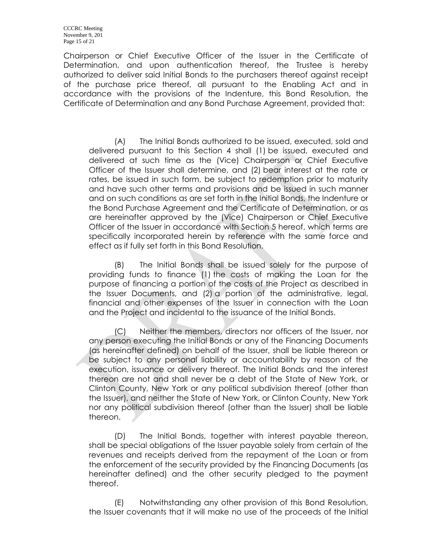Chairperson or Chief Executive Officer of the Issuer in the Certificate of Determination, and upon authentication thereof, the Trustee is hereby authorized to deliver said Initial Bonds to the purchasers thereof against receipt of the purchase price thereof, all pursuant to the Enabling Act and in accordance with the provisions of the Indenture, this Bond Resolution, the Certificate of Determination and any Bond Purchase Agreement, provided that:

(A) The Initial Bonds authorized to be issued, executed, sold and delivered pursuant to this Section 4 shall (1) be issued, executed and delivered at such time as the (Vice) Chairperson or Chief Executive Officer of the Issuer shall determine, and (2) bear interest at the rate or rates, be issued in such form, be subject to redemption prior to maturity and have such other terms and provisions and be issued in such manner and on such conditions as are set forth in the Initial Bonds, the Indenture or the Bond Purchase Agreement and the Certificate of Determination, or as are hereinafter approved by the (Vice) Chairperson or Chief Executive Officer of the Issuer in accordance with Section 5 hereof, which terms are specifically incorporated herein by reference with the same force and effect as if fully set forth in this Bond Resolution.

(B) The Initial Bonds shall be issued solely for the purpose of providing funds to finance (1) the costs of making the Loan for the purpose of financing a portion of the costs of the Project as described in the Issuer Documents, and (2) a portion of the administrative, legal, financial and other expenses of the Issuer in connection with the Loan and the Project and incidental to the issuance of the Initial Bonds.

(C) Neither the members, directors nor officers of the Issuer, nor any person executing the Initial Bonds or any of the Financing Documents (as hereinafter defined) on behalf of the Issuer, shall be liable thereon or be subject to any personal liability or accountability by reason of the execution, issuance or delivery thereof. The Initial Bonds and the interest thereon are not and shall never be a debt of the State of New York, or Clinton County, New York or any political subdivision thereof (other than the Issuer), and neither the State of New York, or Clinton County, New York nor any political subdivision thereof (other than the Issuer) shall be liable thereon.

(D) The Initial Bonds, together with interest payable thereon, shall be special obligations of the Issuer payable solely from certain of the revenues and receipts derived from the repayment of the Loan or from the enforcement of the security provided by the Financing Documents (as hereinafter defined) and the other security pledged to the payment thereof.

(E) Notwithstanding any other provision of this Bond Resolution, the Issuer covenants that it will make no use of the proceeds of the Initial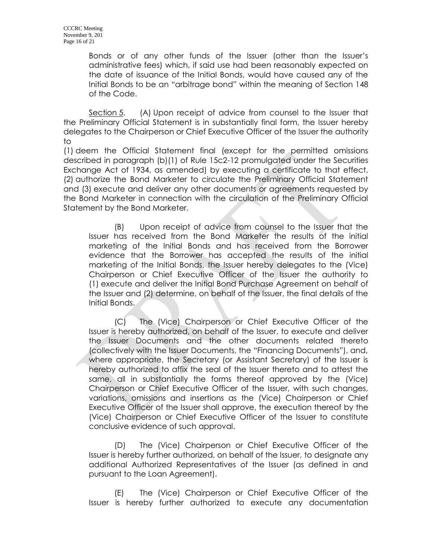Bonds or of any other funds of the Issuer (other than the Issuer's administrative fees) which, if said use had been reasonably expected on the date of issuance of the Initial Bonds, would have caused any of the Initial Bonds to be an "arbitrage bond" within the meaning of Section 148 of the Code.

Section 5. (A) Upon receipt of advice from counsel to the Issuer that the Preliminary Official Statement is in substantially final form, the Issuer hereby delegates to the Chairperson or Chief Executive Officer of the Issuer the authority to

(1) deem the Official Statement final (except for the permitted omissions described in paragraph (b)(1) of Rule 15c2-12 promulgated under the Securities Exchange Act of 1934, as amended) by executing a certificate to that effect, (2) authorize the Bond Marketer to circulate the Preliminary Official Statement and (3) execute and deliver any other documents or agreements requested by the Bond Marketer in connection with the circulation of the Preliminary Official Statement by the Bond Marketer.

(B) Upon receipt of advice from counsel to the Issuer that the Issuer has received from the Bond Marketer the results of the initial marketing of the Initial Bonds and has received from the Borrower evidence that the Borrower has accepted the results of the initial marketing of the Initial Bonds, the Issuer hereby delegates to the (Vice) Chairperson or Chief Executive Officer of the Issuer the authority to (1) execute and deliver the Initial Bond Purchase Agreement on behalf of the Issuer and (2) determine, on behalf of the Issuer, the final details of the Initial Bonds.

(C) The (Vice) Chairperson or Chief Executive Officer of the Issuer is hereby authorized, on behalf of the Issuer, to execute and deliver the Issuer Documents and the other documents related thereto (collectively with the Issuer Documents, the "Financing Documents"), and, where appropriate, the Secretary (or Assistant Secretary) of the Issuer is hereby authorized to affix the seal of the Issuer thereto and to attest the same, all in substantially the forms thereof approved by the (Vice) Chairperson or Chief Executive Officer of the Issuer, with such changes, variations, omissions and insertions as the (Vice) Chairperson or Chief Executive Officer of the Issuer shall approve, the execution thereof by the (Vice) Chairperson or Chief Executive Officer of the Issuer to constitute conclusive evidence of such approval.

(D) The (Vice) Chairperson or Chief Executive Officer of the Issuer is hereby further authorized, on behalf of the Issuer, to designate any additional Authorized Representatives of the Issuer (as defined in and pursuant to the Loan Agreement).

(E) The (Vice) Chairperson or Chief Executive Officer of the Issuer is hereby further authorized to execute any documentation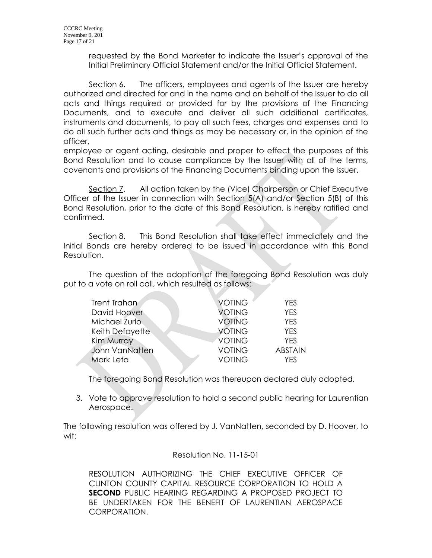requested by the Bond Marketer to indicate the Issuer's approval of the Initial Preliminary Official Statement and/or the Initial Official Statement.

Section 6. The officers, employees and agents of the Issuer are hereby authorized and directed for and in the name and on behalf of the Issuer to do all acts and things required or provided for by the provisions of the Financing Documents, and to execute and deliver all such additional certificates, instruments and documents, to pay all such fees, charges and expenses and to do all such further acts and things as may be necessary or, in the opinion of the officer,

employee or agent acting, desirable and proper to effect the purposes of this Bond Resolution and to cause compliance by the Issuer with all of the terms, covenants and provisions of the Financing Documents binding upon the Issuer.

Section 7. All action taken by the (Vice) Chairperson or Chief Executive Officer of the Issuer in connection with Section 5(A) and/or Section 5(B) of this Bond Resolution, prior to the date of this Bond Resolution, is hereby ratified and confirmed.

Section 8. This Bond Resolution shall take effect immediately and the Initial Bonds are hereby ordered to be issued in accordance with this Bond Resolution.

The question of the adoption of the foregoing Bond Resolution was duly put to a vote on roll call, which resulted as follows:

| Trent Trahan    | <b>VOTING</b> | YES            |
|-----------------|---------------|----------------|
| David Hoover    | <b>VOTING</b> | <b>YES</b>     |
| Michael Zurlo   | <b>VOTING</b> | <b>YES</b>     |
| Keith Defayette | <b>VOTING</b> | <b>YES</b>     |
| Kim Murray      | VOTING        | <b>YES</b>     |
| John VanNatten  | <b>VOTING</b> | <b>ABSTAIN</b> |
| Mark Leta       | <b>VOTING</b> | YFS            |

The foregoing Bond Resolution was thereupon declared duly adopted.

3. Vote to approve resolution to hold a second public hearing for Laurentian Aerospace.

The following resolution was offered by J. VanNatten, seconded by D. Hoover, to wit:

#### Resolution No. 11-15-01

RESOLUTION AUTHORIZING THE CHIEF EXECUTIVE OFFICER OF CLINTON COUNTY CAPITAL RESOURCE CORPORATION TO HOLD A **SECOND** PUBLIC HEARING REGARDING A PROPOSED PROJECT TO BE UNDERTAKEN FOR THE BENEFIT OF LAURENTIAN AEROSPACE CORPORATION.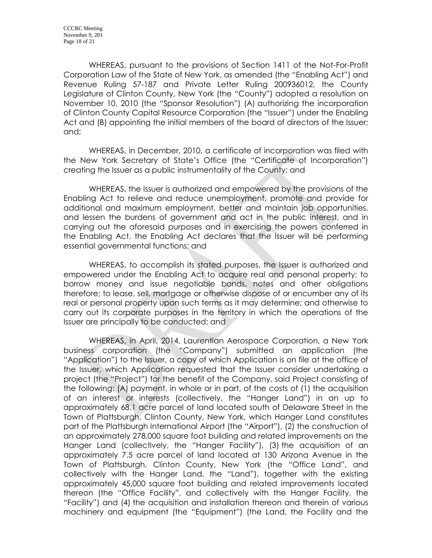WHEREAS, pursuant to the provisions of Section 1411 of the Not-For-Profit Corporation Law of the State of New York, as amended (the "Enabling Act") and Revenue Ruling 57-187 and Private Letter Ruling 200936012, the County Legislature of Clinton County, New York (the "County") adopted a resolution on November 10, 2010 (the "Sponsor Resolution") (A) authorizing the incorporation of Clinton County Capital Resource Corporation (the "Issuer") under the Enabling Act and (B) appointing the initial members of the board of directors of the Issuer; and;

WHEREAS, in December, 2010, a certificate of incorporation was filed with the New York Secretary of State's Office (the "Certificate of Incorporation") creating the Issuer as a public instrumentality of the County; and

WHEREAS, the Issuer is authorized and empowered by the provisions of the Enabling Act to relieve and reduce unemployment, promote and provide for additional and maximum employment, better and maintain job opportunities, and lessen the burdens of government and act in the public interest, and in carrying out the aforesaid purposes and in exercising the powers conferred in the Enabling Act, the Enabling Act declares that the Issuer will be performing essential governmental functions; and

WHEREAS, to accomplish its stated purposes, the Issuer is authorized and empowered under the Enabling Act to acquire real and personal property; to borrow money and issue negotiable bonds, notes and other obligations therefore; to lease, sell, mortgage or otherwise dispose of or encumber any of its real or personal property upon such terms as it may determine; and otherwise to carry out its corporate purposes in the territory in which the operations of the Issuer are principally to be conducted; and

WHEREAS, in April, 2014, Laurentian Aerospace Corporation, a New York business corporation (the "Company") submitted an application (the "Application") to the Issuer, a copy of which Application is on file at the office of the Issuer, which Application requested that the Issuer consider undertaking a project (the "Project") for the benefit of the Company, said Project consisting of the following: (A) payment, in whole or in part, of the costs of (1) the acquisition of an interest or interests (collectively, the "Hanger Land") in an up to approximately 68.1 acre parcel of land located south of Delaware Street in the Town of Plattsburgh, Clinton County, New York, which Hanger Land constitutes part of the Plattsburgh International Airport (the "Airport"), (2) the construction of an approximately 278,000 square foot building and related improvements on the Hanger Land (collectively, the "Hanger Facility"), (3) the acquisition of an approximately 7.5 acre parcel of land located at 130 Arizona Avenue in the Town of Plattsburgh, Clinton County, New York (the "Office Land", and collectively with the Hanger Land, the "Land"), together with the existing approximately 45,000 square foot building and related improvements located thereon (the "Office Facility", and collectively with the Hanger Facility, the "Facility") and (4) the acquisition and installation thereon and therein of various machinery and equipment (the "Equipment") (the Land, the Facility and the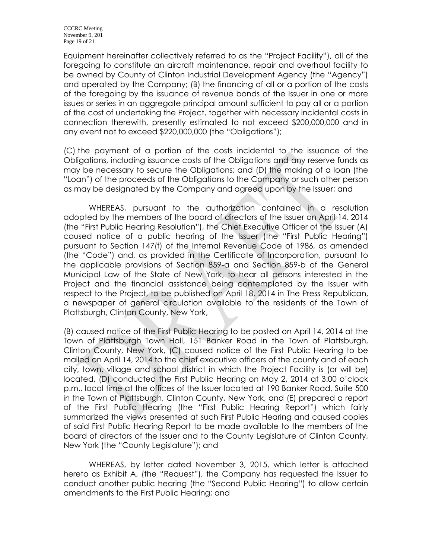Equipment hereinafter collectively referred to as the "Project Facility"), all of the foregoing to constitute an aircraft maintenance, repair and overhaul facility to be owned by County of Clinton Industrial Development Agency (the "Agency") and operated by the Company; (B) the financing of all or a portion of the costs of the foregoing by the issuance of revenue bonds of the Issuer in one or more issues or series in an aggregate principal amount sufficient to pay all or a portion of the cost of undertaking the Project, together with necessary incidental costs in connection therewith, presently estimated to not exceed \$200,000,000 and in any event not to exceed \$220,000,000 (the "Obligations");

(C) the payment of a portion of the costs incidental to the issuance of the Obligations, including issuance costs of the Obligations and any reserve funds as may be necessary to secure the Obligations; and (D) the making of a loan (the "Loan") of the proceeds of the Obligations to the Company or such other person as may be designated by the Company and agreed upon by the Issuer; and

WHEREAS, pursuant to the authorization contained in a resolution adopted by the members of the board of directors of the Issuer on April 14, 2014 (the "First Public Hearing Resolution"), the Chief Executive Officer of the Issuer (A) caused notice of a public hearing of the Issuer (the "First Public Hearing") pursuant to Section 147(f) of the Internal Revenue Code of 1986, as amended (the "Code") and, as provided in the Certificate of Incorporation, pursuant to the applicable provisions of Section 859-a and Section 859-b of the General Municipal Law of the State of New York, to hear all persons interested in the Project and the financial assistance being contemplated by the Issuer with respect to the Project, to be published on April 18, 2014 in The Press Republican, a newspaper of general circulation available to the residents of the Town of Plattsburgh, Clinton County, New York,

(B) caused notice of the First Public Hearing to be posted on April 14, 2014 at the Town of Plattsburgh Town Hall, 151 Banker Road in the Town of Plattsburgh, Clinton County, New York, (C) caused notice of the First Public Hearing to be mailed on April 14, 2014 to the chief executive officers of the county and of each city, town, village and school district in which the Project Facility is (or will be) located, (D) conducted the First Public Hearing on May 2, 2014 at 3:00 o'clock p.m., local time at the offices of the Issuer located at 190 Banker Road, Suite 500 in the Town of Plattsburgh, Clinton County, New York, and (E) prepared a report of the First Public Hearing (the "First Public Hearing Report") which fairly summarized the views presented at such First Public Hearing and caused copies of said First Public Hearing Report to be made available to the members of the board of directors of the Issuer and to the County Legislature of Clinton County, New York (the "County Legislature"); and

WHEREAS, by letter dated November 3, 2015, which letter is attached hereto as Exhibit A, (the "Request"), the Company has requested the Issuer to conduct another public hearing (the "Second Public Hearing") to allow certain amendments to the First Public Hearing; and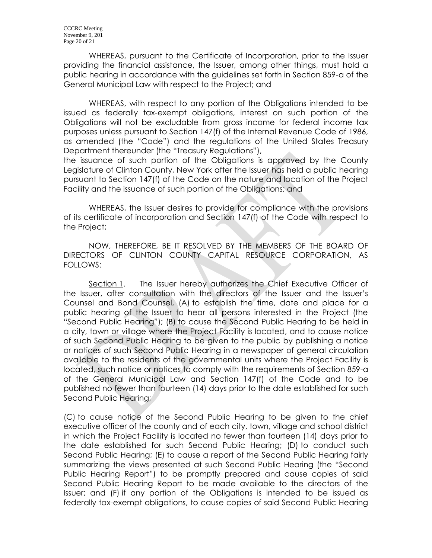WHEREAS, pursuant to the Certificate of Incorporation, prior to the Issuer providing the financial assistance, the Issuer, among other things, must hold a public hearing in accordance with the guidelines set forth in Section 859-a of the General Municipal Law with respect to the Project; and

WHEREAS, with respect to any portion of the Obligations intended to be issued as federally tax-exempt obligations, interest on such portion of the Obligations will not be excludable from gross income for federal income tax purposes unless pursuant to Section 147(f) of the Internal Revenue Code of 1986, as amended (the "Code") and the regulations of the United States Treasury Department thereunder (the "Treasury Regulations"),

the issuance of such portion of the Obligations is approved by the County Legislature of Clinton County, New York after the Issuer has held a public hearing pursuant to Section 147(f) of the Code on the nature and location of the Project Facility and the issuance of such portion of the Obligations; and

WHEREAS, the Issuer desires to provide for compliance with the provisions of its certificate of incorporation and Section 147(f) of the Code with respect to the Project;

NOW, THEREFORE, BE IT RESOLVED BY THE MEMBERS OF THE BOARD OF DIRECTORS OF CLINTON COUNTY CAPITAL RESOURCE CORPORATION, AS FOLLOWS:

Section 1. The Issuer hereby authorizes the Chief Executive Officer of the Issuer, after consultation with the directors of the Issuer and the Issuer's Counsel and Bond Counsel, (A) to establish the time, date and place for a public hearing of the Issuer to hear all persons interested in the Project (the "Second Public Hearing"); (B) to cause the Second Public Hearing to be held in a city, town or village where the Project Facility is located, and to cause notice of such Second Public Hearing to be given to the public by publishing a notice or notices of such Second Public Hearing in a newspaper of general circulation available to the residents of the governmental units where the Project Facility is located, such notice or notices to comply with the requirements of Section 859-a of the General Municipal Law and Section 147(f) of the Code and to be published no fewer than fourteen (14) days prior to the date established for such Second Public Hearing;

(C) to cause notice of the Second Public Hearing to be given to the chief executive officer of the county and of each city, town, village and school district in which the Project Facility is located no fewer than fourteen (14) days prior to the date established for such Second Public Hearing; (D) to conduct such Second Public Hearing; (E) to cause a report of the Second Public Hearing fairly summarizing the views presented at such Second Public Hearing (the "Second Public Hearing Report") to be promptly prepared and cause copies of said Second Public Hearing Report to be made available to the directors of the Issuer; and (F) if any portion of the Obligations is intended to be issued as federally tax-exempt obligations, to cause copies of said Second Public Hearing